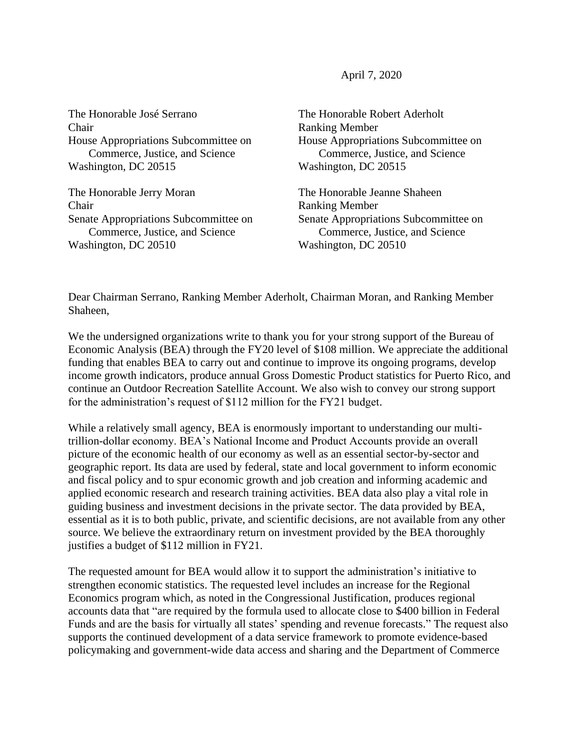April 7, 2020

The Honorable José Serrano Chair House Appropriations Subcommittee on Commerce, Justice, and Science Washington, DC 20515

The Honorable Jerry Moran Chair Senate Appropriations Subcommittee on Commerce, Justice, and Science Washington, DC 20510

The Honorable Robert Aderholt Ranking Member House Appropriations Subcommittee on Commerce, Justice, and Science Washington, DC 20515

The Honorable Jeanne Shaheen Ranking Member Senate Appropriations Subcommittee on Commerce, Justice, and Science Washington, DC 20510

Dear Chairman Serrano, Ranking Member Aderholt, Chairman Moran, and Ranking Member Shaheen,

We the undersigned organizations write to thank you for your strong support of the Bureau of Economic Analysis (BEA) through the FY20 level of \$108 million. We appreciate the additional funding that enables BEA to carry out and continue to improve its ongoing programs, develop income growth indicators, produce annual Gross Domestic Product statistics for Puerto Rico, and continue an Outdoor Recreation Satellite Account. We also wish to convey our strong support for the administration's request of \$112 million for the FY21 budget.

While a relatively small agency, BEA is enormously important to understanding our multitrillion-dollar economy. BEA's National Income and Product Accounts provide an overall picture of the economic health of our economy as well as an essential sector-by-sector and geographic report. Its data are used by federal, state and local government to inform economic and fiscal policy and to spur economic growth and job creation and informing academic and applied economic research and research training activities. BEA data also play a vital role in guiding business and investment decisions in the private sector. The data provided by BEA, essential as it is to both public, private, and scientific decisions, are not available from any other source. We believe the extraordinary return on investment provided by the BEA thoroughly justifies a budget of \$112 million in FY21.

The requested amount for BEA would allow it to support the administration's initiative to strengthen economic statistics. The requested level includes an increase for the Regional Economics program which, as noted in the Congressional Justification, produces regional accounts data that "are required by the formula used to allocate close to \$400 billion in Federal Funds and are the basis for virtually all states' spending and revenue forecasts." The request also supports the continued development of a data service framework to promote evidence-based policymaking and government-wide data access and sharing and the Department of Commerce